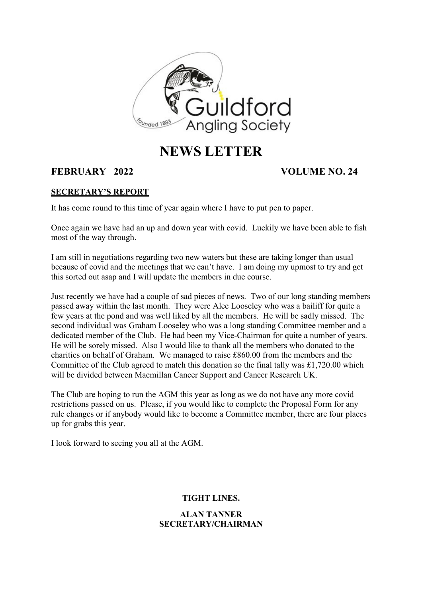

# **NEWS LETTER**

# **FEBRUARY 2022 VOLUME NO. 24**

## **SECRETARY'S REPORT**

It has come round to this time of year again where I have to put pen to paper.

Once again we have had an up and down year with covid. Luckily we have been able to fish most of the way through.

I am still in negotiations regarding two new waters but these are taking longer than usual because of covid and the meetings that we can't have. I am doing my upmost to try and get this sorted out asap and I will update the members in due course.

Just recently we have had a couple of sad pieces of news. Two of our long standing members passed away within the last month. They were Alec Looseley who was a bailiff for quite a few years at the pond and was well liked by all the members. He will be sadly missed. The second individual was Graham Looseley who was a long standing Committee member and a dedicated member of the Club. He had been my Vice-Chairman for quite a number of years. He will be sorely missed. Also I would like to thank all the members who donated to the charities on behalf of Graham. We managed to raise £860.00 from the members and the Committee of the Club agreed to match this donation so the final tally was £1,720.00 which will be divided between Macmillan Cancer Support and Cancer Research UK.

The Club are hoping to run the AGM this year as long as we do not have any more covid restrictions passed on us. Please, if you would like to complete the Proposal Form for any rule changes or if anybody would like to become a Committee member, there are four places up for grabs this year.

I look forward to seeing you all at the AGM.

# **TIGHT LINES.**

# **ALAN TANNER SECRETARY/CHAIRMAN**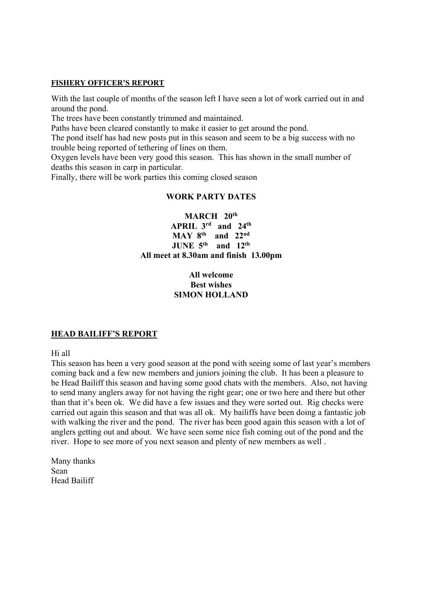#### **FISHERY OFFICER'S REPORT**

With the last couple of months of the season left I have seen a lot of work carried out in and around the pond.

The trees have been constantly trimmed and maintained.

Paths have been cleared constantly to make it easier to get around the pond.

The pond itself has had new posts put in this season and seem to be a big success with no trouble being reported of tethering of lines on them.

Oxygen levels have been very good this season. This has shown in the small number of deaths this season in carp in particular.

Finally, there will be work parties this coming closed season

#### **WORK PARTY DATES**

**MARCH 20th APRIL 3rd and 24th MAY 8th and 22nd JUNE 5th and 12th All meet at 8.30am and finish 13.00pm**

### **All welcome Best wishes SIMON HOLLAND**

### **HEAD BAILIFF'S REPORT**

Hi all

This season has been a very good season at the pond with seeing some of last year's members coming back and a few new members and juniors joining the club. It has been a pleasure to be Head Bailiff this season and having some good chats with the members. Also, not having to send many anglers away for not having the right gear; one or two here and there but other than that it's been ok. We did have a few issues and they were sorted out. Rig checks were carried out again this season and that was all ok. My bailiffs have been doing a fantastic job with walking the river and the pond. The river has been good again this season with a lot of anglers getting out and about. We have seen some nice fish coming out of the pond and the river. Hope to see more of you next season and plenty of new members as well .

Many thanks Sean Head Bailiff